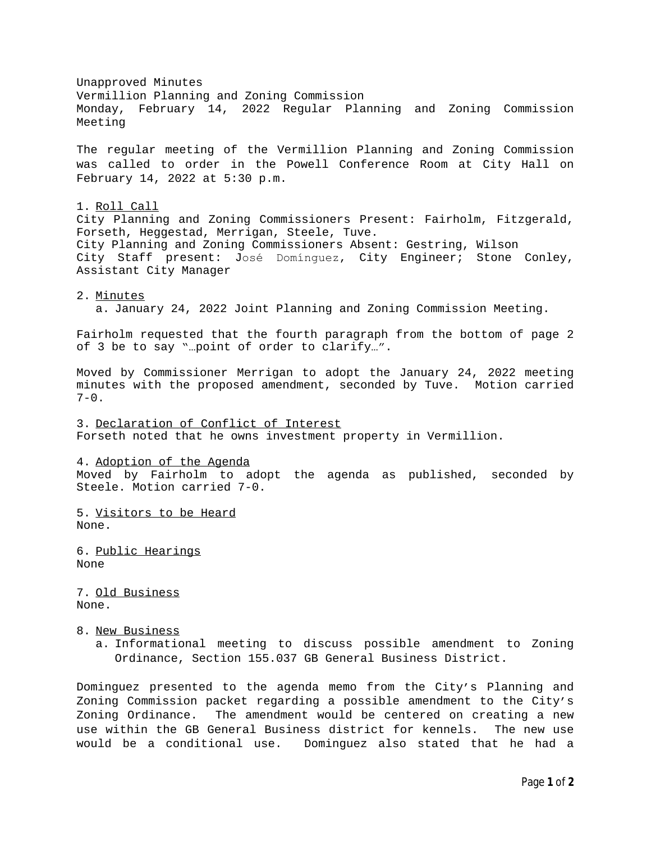Unapproved Minutes Vermillion Planning and Zoning Commission Monday, February 14, 2022 Regular Planning and Zoning Commission Meeting The regular meeting of the Vermillion Planning and Zoning Commission was called to order in the Powell Conference Room at City Hall on February 14, 2022 at 5:30 p.m. 1. Roll Call City Planning and Zoning Commissioners Present: Fairholm, Fitzgerald, Forseth, Heggestad, Merrigan, Steele, Tuve. City Planning and Zoning Commissioners Absent: Gestring, Wilson City Staff present: José Domínguez, City Engineer; Stone Conley, Assistant City Manager 2. Minutes a. January 24, 2022 Joint Planning and Zoning Commission Meeting. Fairholm requested that the fourth paragraph from the bottom of page 2 of 3 be to say "…point of order to clarify…". Moved by Commissioner Merrigan to adopt the January 24, 2022 meeting minutes with the proposed amendment, seconded by Tuve. Motion carried  $7 - 0$ . 3. Declaration of Conflict of Interest Forseth noted that he owns investment property in Vermillion. 4. Adoption of the Agenda Moved by Fairholm to adopt the agenda as published, seconded by Steele. Motion carried 7-0. 5. Visitors to be Heard None. 6. Public Hearings None 7. Old Business None. 8. New Business a. Informational meeting to discuss possible amendment to Zoning Ordinance, Section 155.037 GB General Business District. Dominguez presented to the agenda memo from the City's Planning and

Zoning Commission packet regarding a possible amendment to the City's Zoning Ordinance. The amendment would be centered on creating a new use within the GB General Business district for kennels. The new use would be a conditional use. Dominguez also stated that he had a